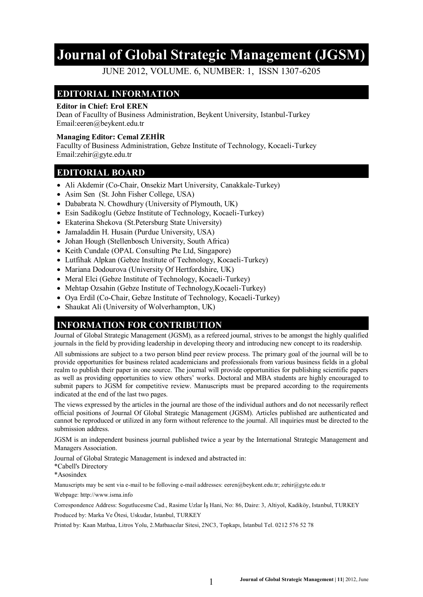# **Journal of Global Strategic Management (JGSM)**

JUNE 2012, VOLUME. 6, NUMBER: 1, ISSN 1307-6205

#### **EDITORIAL INFORMATION**

#### **Editor in Chief: Erol EREN**

Dean of Facullty of Business Administration, Beykent University, Istanbul-Turkey Email:eeren@beykent.edu.tr

#### **Managing Editor: Cemal ZEHİR**

Facullty of Business Administration, Gebze Institute of Technology, Kocaeli-Turkey Email:zehir@gyte.edu.tr

#### **EDITORIAL BOARD**

- Ali Akdemir (Co-Chair, Onsekiz Mart University, Canakkale-Turkey)
- Asim Sen (St. John Fisher College, USA)
- Dababrata N. Chowdhury (University of Plymouth, UK)
- Esin Sadikoglu (Gebze Institute of Technology, Kocaeli-Turkey)
- Ekaterina Shekova (St.Petersburg State University)
- Jamaladdin H. Husain (Purdue University, USA)
- Johan Hough (Stellenbosch University, South Africa)
- Keith Cundale (OPAL Consulting Pte Ltd, Singapore)
- Lutfihak Alpkan (Gebze Institute of Technology, Kocaeli-Turkey)
- Mariana Dodourova (University Of Hertfordshire, UK)
- Meral Elci (Gebze Institute of Technology, Kocaeli-Turkey)
- Mehtap Ozsahin (Gebze Institute of Technology, Kocaeli-Turkey)
- Oya Erdil (Co-Chair, Gebze Institute of Technology, Kocaeli-Turkey)
- Shaukat Ali (University of Wolverhampton, UK)

### **INFORMATION FOR CONTRIBUTION**

Journal of Global Strategic Management (JGSM), as a refereed journal, strives to be amongst the highly qualified journals in the field by providing leadership in developing theory and introducing new concept to its readership.

All submissions are subject to a two person blind peer review process. The primary goal of the journal will be to provide opportunities for business related academicians and professionals from various business fields in a global realm to publish their paper in one source. The journal will provide opportunities for publishing scientific papers as well as providing opportunities to view others' works. Doctoral and MBA students are highly encouraged to submit papers to JGSM for competitive review. Manuscripts must be prepared according to the requirements indicated at the end of the last two pages.

The views expressed by the articles in the journal are those of the individual authors and do not necessarily reflect official positions of Journal Of Global Strategic Management (JGSM). Articles published are authenticated and cannot be reproduced or utilized in any form without reference to the journal. All inquiries must be directed to the submission address.

JGSM is an independent business journal published twice a year by the International Strategic Management and Managers Association.

Journal of Global Strategic Management is indexed and abstracted in:

\*Cabell's Directory

\*Asosindex

Manuscripts may be sent via e-mail to be folloving e-mail addresses: eeren@beykent.edu.tr; zehir@gyte.edu.tr

Webpage: http://www.isma.info

Correspondence Address: Sogutlucesme Cad., Rasime Uzlar İş Hani, No: 86, Daire: 3, Altiyol, Kadiköy, Istanbul, TURKEY

Produced by: Marka Ve Ötesi, Uskudar, Istanbul, TURKEY

Printed by: Kaan Matbaa, Litros Yolu, 2.Matbaacılar Sitesi, 2NC3, Topkapı, İstanbul Tel. 0212 576 52 78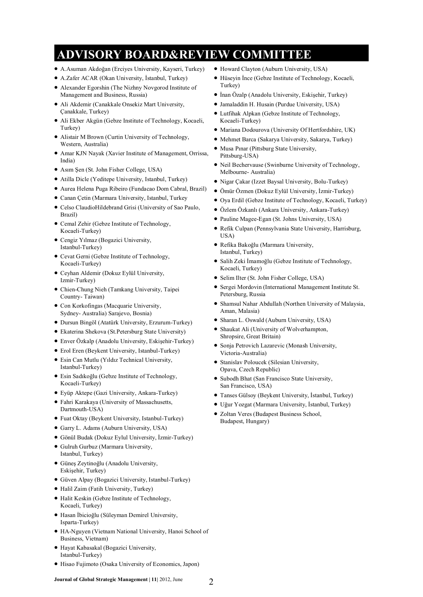# **ADVISORY BOARD&REVIEW COMMITTEE**

- A.Asuman Akdoğan (Erciyes University, Kayseri, Turkey)
- A.Zafer ACAR (Okan University, İstanbul, Turkey)
- Alexander Egorshin (The Nizhny Novgorod Institute of Management and Business, Russia)
- Ali Akdemir (Canakkale Onsekiz Mart University, Çanakkale, Turkey)
- Ali Ekber Akgün (Gebze Institute of Technology, Kocaeli, Turkey)
- Alistair M Brown (Curtin University of Technology, Western, Australia)
- Amar KJN Nayak (Xavier Institute of Management, Orrissa, India)
- Asım Sen (St. John Fisher College, USA)
- Atilla Dicle (Yeditepe University, Istanbul, Turkey)
- Aurea Helena Puga Ribeiro (Fundacao Dom Cabral, Brazil)
- Canan Çetin (Marmara University, Istanbul, Turkey
- Celso ClaudioHildebrand Grisi (University of Sao Paulo, Brazil)
- Cemal Zehir (Gebze Institute of Technology, Kocaeli-Turkey)
- Cengiz Yılmaz (Bogazici University, Istanbul-Turkey)
- Cevat Gerni (Gebze Institute of Technology, Kocaeli-Turkey)
- Ceyhan Aldemir (Dokuz Eylül University, Izmir-Turkey)
- Chien-Chung Nieh (Tamkang University, Taipei Country- Taiwan)
- Con Korkofingas (Macquarie University, Sydney- Australia) Sarajevo, Bosnia)
- Dursun Bingöl (Atatürk University, Erzurum-Turkey)
- Ekaterina Shekova (St.Petersburg State University)
- Enver Özkalp (Anadolu University, Eskişehir-Turkey)
- Erol Eren (Beykent University, Istanbul-Turkey)
- Esin Can Mutlu (Yıldız Technical University, Istanbul-Turkey)
- Esin Sadıkoğlu (Gebze Institute of Technology, Kocaeli-Turkey)
- Eyüp Aktepe (Gazi University, Ankara-Turkey)
- Fahri Karakaya (University of Massachusetts, Dartmouth-USA)
- Fuat Oktay (Beykent University, Istanbul-Turkey)
- Garry L. Adams (Auburn University, USA)
- Gönül Budak (Dokuz Eylul University, İzmir-Turkey)
- Gulruh Gurbuz (Marmara University, Istanbul, Turkey)
- Güneş Zeytinoğlu (Anadolu University, Eskişehir, Turkey)
- Güven Alpay (Bogazici University, Istanbul-Turkey)
- Halil Zaim (Fatih University, Turkey)
- Halit Keskin (Gebze Institute of Technology, Kocaeli, Turkey)
- Hasan İbicioğlu (Süleyman Demirel University, Isparta-Turkey)
- HA-Nguyen (Vietnam National University, Hanoi School of Business, Vietnam)
- Hayat Kabasakal (Bogazici University, Istanbul-Turkey)
- Hisao Fujimoto (Osaka University of Economics, Japon)
- Howard Clayton (Auburn University, USA)
- Hüseyin İnce (Gebze Institute of Technology, Kocaeli, Turkey)
- $\bullet$  İnan Özalp (Anadolu University, Eskişehir, Turkey)
- Jamaladdin H. Husain (Purdue University, USA)
- Lutfihak Alpkan (Gebze Institute of Technology, Kocaeli-Turkey)
- $\bullet$  Mariana Dodourova (University Of Hertfordshire, UK)
- Mehmet Barca (Sakarya University, Sakarya, Turkey)
- Musa Pınar (Pittsburg State University, Pittsburg-USA)
- Neil Bechervause (Swinburne University of Technology, Melbourne- Australia)
- Nigar Çakar (Izzet Baysal University, Bolu-Turkey)
- Ömür Özmen (Dokuz Eylül University, İzmir-Turkey)
- Oya Erdil (Gebze Institute of Technology, Kocaeli, Turkey)
- Özlem Özkanlı (Ankara University, Ankara-Turkey)
- Pauline Magee-Egan (St. Johns University, USA)
- Refik Culpan (Pennsylvania State University, Harrisburg, USA)
- Refika Bakoğlu (Marmara University, Istanbul, Turkey)
- Salih Zeki İmamoğlu (Gebze Institute of Technology, Kocaeli, Turkey)
- Selim Ilter (St. John Fisher College, USA)
- Sergei Mordovin (International Management Institute St. Petersburg, Russia
- Shamsul Nahar Abdullah (Northen University of Malaysia, Aman, Malasia)
- Sharan L. Oswald (Auburn University, USA)
- Shaukat Ali (University of Wolverhampton, Shropsire, Great Britain)
- Sonja Petrovich Lazarevic (Monash University, Victoria-Australia)
- Stanislav Poloucek (Silesian University, Opava, Czech Republic)
- Subodh Bhat (San Francisco State University, San Francisco, USA)
- Tanses Gülsoy (Beykent University, İstanbul, Turkey)
- Uğur Yozgat (Marmara University, İstanbul, Turkey)
- Zoltan Veres (Budapest Business School, Budapest, Hungary)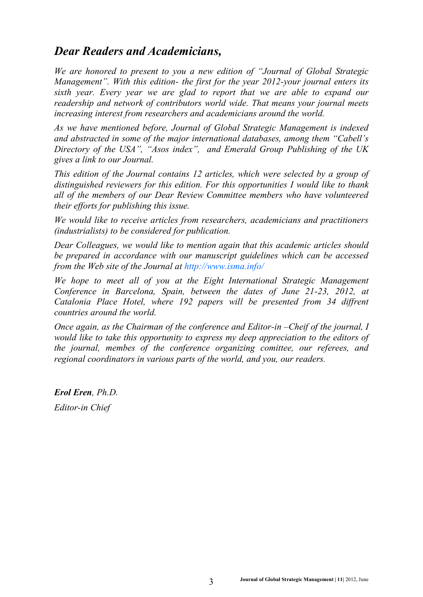## *Dear Readers and Academicians,*

*We are honored to present to you a new edition of "Journal of Global Strategic Management". With this edition- the first for the year 2012-your journal enters its sixth year. Every year we are glad to report that we are able to expand our readership and network of contributors world wide. That means your journal meets increasing interest from researchers and academicians around the world.*

*As we have mentioned before, Journal of Global Strategic Management is indexed and abstracted in some of the major international databases, among them "Cabell's Directory of the USA", "Asos index", and Emerald Group Publishing of the UK gives a link to our Journal.* 

*This edition of the Journal contains 12 articles, which were selected by a group of distinguished reviewers for this edition. For this opportunities I would like to thank all of the members of our Dear Review Committee members who have volunteered their efforts for publishing this issue.*

*We would like to receive articles from researchers, academicians and practitioners (industrialists) to be considered for publication.* 

*Dear Colleagues, we would like to mention again that this academic articles should be prepared in accordance with our manuscript guidelines which can be accessed from the Web site of the Journal at <http://www.isma.info/>*

We hope to meet all of you at the Eight International Strategic Management *Conference in Barcelona, Spain, between the dates of June 21-23, 2012, at Catalonia Place Hotel, where 192 papers will be presented from 34 diffrent countries around the world.*

*Once again, as the Chairman of the conference and Editor-in –Cheif of the journal, I would like to take this opportunity to express my deep appreciation to the editors of the journal, membes of the conference organizing comittee, our referees, and regional coordinators in various parts of the world, and you, our readers.*

*Erol Eren, Ph.D. Editor-in Chief*